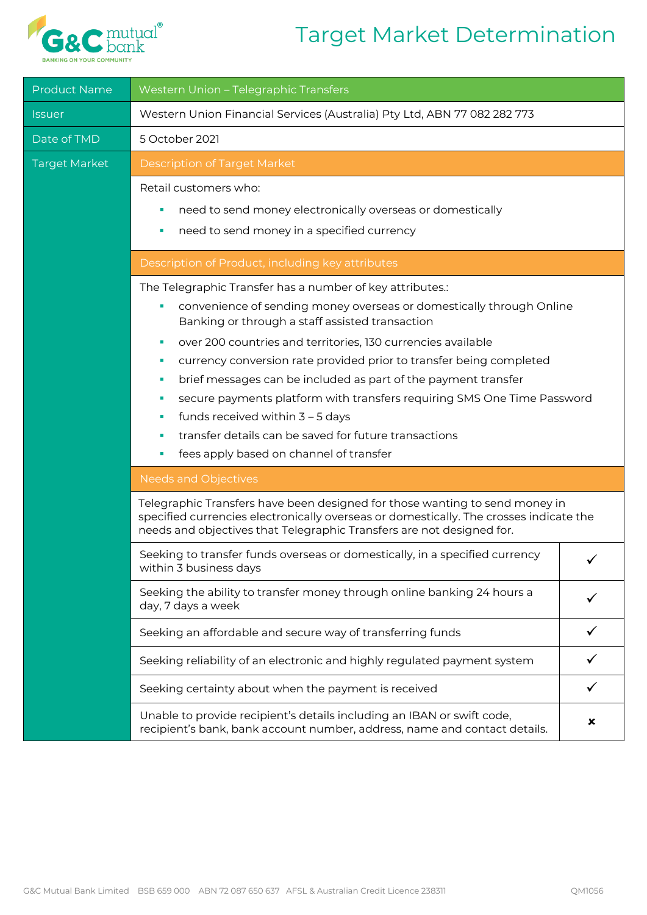## Target Market Determination



| <b>Product Name</b>         | Western Union - Telegraphic Transfers                                                                                                                                                                                                                                                                                                            |  |  |
|-----------------------------|--------------------------------------------------------------------------------------------------------------------------------------------------------------------------------------------------------------------------------------------------------------------------------------------------------------------------------------------------|--|--|
| <i><u><b>Issuer</b></u></i> | Western Union Financial Services (Australia) Pty Ltd, ABN 77 082 282 773                                                                                                                                                                                                                                                                         |  |  |
| Date of TMD                 | 5 October 2021                                                                                                                                                                                                                                                                                                                                   |  |  |
| <b>Target Market</b>        | <b>Description of Target Market</b>                                                                                                                                                                                                                                                                                                              |  |  |
|                             | Retail customers who:<br>need to send money electronically overseas or domestically<br>ш<br>need to send money in a specified currency                                                                                                                                                                                                           |  |  |
|                             | Description of Product, including key attributes                                                                                                                                                                                                                                                                                                 |  |  |
|                             | The Telegraphic Transfer has a number of key attributes.:<br>convenience of sending money overseas or domestically through Online<br>Banking or through a staff assisted transaction                                                                                                                                                             |  |  |
|                             | over 200 countries and territories, 130 currencies available<br>٠                                                                                                                                                                                                                                                                                |  |  |
|                             | currency conversion rate provided prior to transfer being completed<br>ш<br>brief messages can be included as part of the payment transfer<br>٠                                                                                                                                                                                                  |  |  |
|                             | secure payments platform with transfers requiring SMS One Time Password<br>ш<br>funds received within $3 - 5$ days<br>ш                                                                                                                                                                                                                          |  |  |
|                             | transfer details can be saved for future transactions                                                                                                                                                                                                                                                                                            |  |  |
|                             | fees apply based on channel of transfer                                                                                                                                                                                                                                                                                                          |  |  |
|                             | <b>Needs and Objectives</b><br>Telegraphic Transfers have been designed for those wanting to send money in<br>specified currencies electronically overseas or domestically. The crosses indicate the<br>needs and objectives that Telegraphic Transfers are not designed for.                                                                    |  |  |
|                             |                                                                                                                                                                                                                                                                                                                                                  |  |  |
|                             | Seeking to transfer funds overseas or domestically, in a specified currency<br>within 3 business days<br>Seeking the ability to transfer money through online banking 24 hours a<br>day, 7 days a week<br>Seeking an affordable and secure way of transferring funds<br>Seeking reliability of an electronic and highly regulated payment system |  |  |
|                             |                                                                                                                                                                                                                                                                                                                                                  |  |  |
|                             |                                                                                                                                                                                                                                                                                                                                                  |  |  |
|                             |                                                                                                                                                                                                                                                                                                                                                  |  |  |
|                             | Seeking certainty about when the payment is received                                                                                                                                                                                                                                                                                             |  |  |
|                             | Unable to provide recipient's details including an IBAN or swift code,<br>×<br>recipient's bank, bank account number, address, name and contact details.                                                                                                                                                                                         |  |  |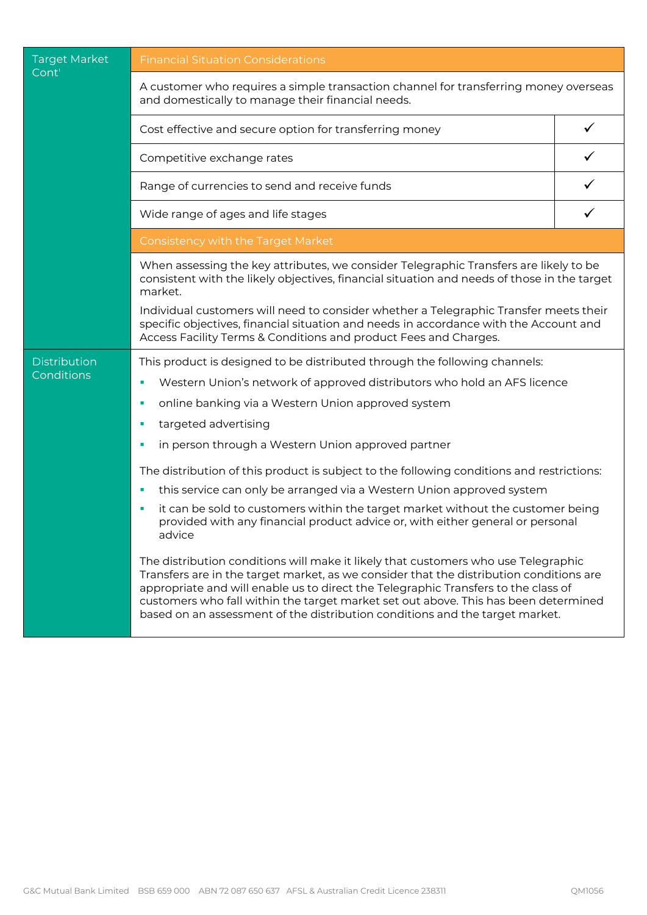| <b>Target Market</b><br>Cont'     | <b>Financial Situation Considerations</b>                                                                                                                                                                                                                                                                                                                                                                                                  |   |  |  |
|-----------------------------------|--------------------------------------------------------------------------------------------------------------------------------------------------------------------------------------------------------------------------------------------------------------------------------------------------------------------------------------------------------------------------------------------------------------------------------------------|---|--|--|
|                                   | A customer who requires a simple transaction channel for transferring money overseas<br>and domestically to manage their financial needs.                                                                                                                                                                                                                                                                                                  |   |  |  |
|                                   | Cost effective and secure option for transferring money                                                                                                                                                                                                                                                                                                                                                                                    |   |  |  |
|                                   | $\checkmark$<br>Competitive exchange rates                                                                                                                                                                                                                                                                                                                                                                                                 |   |  |  |
|                                   | Range of currencies to send and receive funds                                                                                                                                                                                                                                                                                                                                                                                              |   |  |  |
|                                   | Wide range of ages and life stages                                                                                                                                                                                                                                                                                                                                                                                                         | ✓ |  |  |
|                                   | Consistency with the Target Market                                                                                                                                                                                                                                                                                                                                                                                                         |   |  |  |
|                                   | When assessing the key attributes, we consider Telegraphic Transfers are likely to be<br>consistent with the likely objectives, financial situation and needs of those in the target<br>market.                                                                                                                                                                                                                                            |   |  |  |
|                                   | Individual customers will need to consider whether a Telegraphic Transfer meets their<br>specific objectives, financial situation and needs in accordance with the Account and<br>Access Facility Terms & Conditions and product Fees and Charges.                                                                                                                                                                                         |   |  |  |
| <b>Distribution</b><br>Conditions | This product is designed to be distributed through the following channels:                                                                                                                                                                                                                                                                                                                                                                 |   |  |  |
|                                   | Western Union's network of approved distributors who hold an AFS licence<br>a,                                                                                                                                                                                                                                                                                                                                                             |   |  |  |
|                                   | online banking via a Western Union approved system<br>ш                                                                                                                                                                                                                                                                                                                                                                                    |   |  |  |
|                                   | targeted advertising<br>ш                                                                                                                                                                                                                                                                                                                                                                                                                  |   |  |  |
|                                   | in person through a Western Union approved partner<br>ш                                                                                                                                                                                                                                                                                                                                                                                    |   |  |  |
|                                   | The distribution of this product is subject to the following conditions and restrictions:                                                                                                                                                                                                                                                                                                                                                  |   |  |  |
|                                   | this service can only be arranged via a Western Union approved system<br>u,                                                                                                                                                                                                                                                                                                                                                                |   |  |  |
|                                   | it can be sold to customers within the target market without the customer being<br>a,<br>provided with any financial product advice or, with either general or personal<br>advice                                                                                                                                                                                                                                                          |   |  |  |
|                                   | The distribution conditions will make it likely that customers who use Telegraphic<br>Transfers are in the target market, as we consider that the distribution conditions are<br>appropriate and will enable us to direct the Telegraphic Transfers to the class of<br>customers who fall within the target market set out above. This has been determined<br>based on an assessment of the distribution conditions and the target market. |   |  |  |